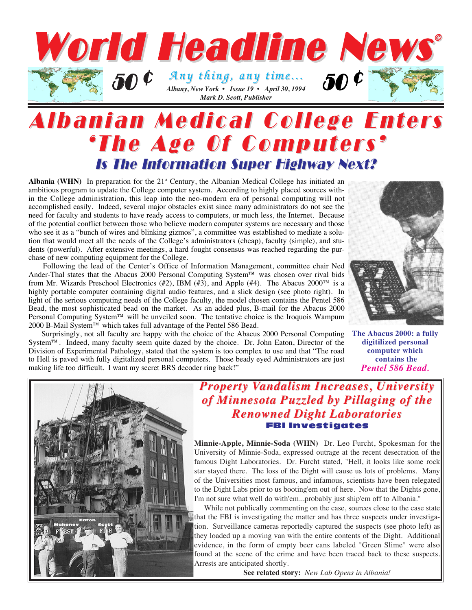

# Albanian Medical College Enters Albanian Medical College Enters 'The Age Of Computers' 'The Age Of Computers' Is The Information Super Highway Next?

Albania (WHN) In preparation for the 21<sup>st</sup> Century, the Albanian Medical College has initiated an ambitious program to update the College computer system. According to highly placed sources within the College administration, this leap into the neo-modern era of personal computing will not accomplished easily. Indeed, several major obstacles exist since many administrators do not see the need for faculty and students to have ready access to computers, or much less, the Internet. Because of the potential conflict between those who believe modern computer systems are necessary and those who see it as a "bunch of wires and blinking gizmos", a committee was established to mediate a solution that would meet all the needs of the College's administrators (cheap), faculty (simple), and students (powerful). After extensive meetings, a hard fought consensus was reached regarding the purchase of new computing equipment for the College.

Following the lead of the Center's Office of Information Management, committee chair Ned Ander-Thal states that the Abacus 2000 Personal Computing System™ was chosen over rival bids from Mr. Wizards Preschool Electronics (#2), IBM (#3), and Apple (#4). The Abacus 2000™ is a highly portable computer containing digital audio features, and a slick design (see photo right). In light of the serious computing needs of the College faculty, the model chosen contains the Pentel 586 Bead, the most sophisticated bead on the market. As an added plus, B-mail for the Abacus 2000 Personal Computing System™ will be unveiled soon. The tentative choice is the Iroquois Wampum 2000 B-Mail System™ which takes full advantage of the Pentel 586 Bead.

Surprisingly, not all faculty are happy with the choice of the Abacus 2000 Personal Computing System™. Indeed, many faculty seem quite dazed by the choice. Dr. John Eaton, Director of the Division of Experimental Pathology, stated that the system is too complex to use and that "The road to Hell is paved with fully digitalized personal computers. Those beady eyed Administrators are just making life too difficult. I want my secret BRS decoder ring back!"



**The Abacus 2000: a fully digitilized personal computer which contains the**  *Pentel 586 Bead.* 



### *Property Vandalism Increases, University of Minnesota Puzzled by Pillaging of the of Minnesota Puzzled by Pillaging of the Renowned Dight Laboratories Renowned Dight Laboratories* FBI Investigates

**Minnie-Apple, Minnie-Soda (WHN)** Dr. Leo Furcht, Spokesman for the University of Minnie-Soda, expressed outrage at the recent desecration of the famous Dight Laboratories. Dr. Furcht stated, "Hell, it looks like some rock star stayed there. The loss of the Dight will cause us lots of problems. Many of the Universities most famous, and infamous, scientists have been relegated to the Dight Labs prior to us booting'em out of here. Now that the Dights gone, I'm not sure what well do with'em...probably just ship'em off to Albania."

While not publically commenting on the case, sources close to the case state that the FBI is investigating the matter and has three suspects under investigation. Surveillance cameras reportedly captured the suspects (see photo left) as they loaded up a moving van with the entire contents of the Dight. Additional evidence, in the form of empty beer cans labeled "Green Slime" were also found at the scene of the crime and have been traced back to these suspects. Arrests are anticipated shortly.

**See related story:** *New Lab Opens in Albania!*